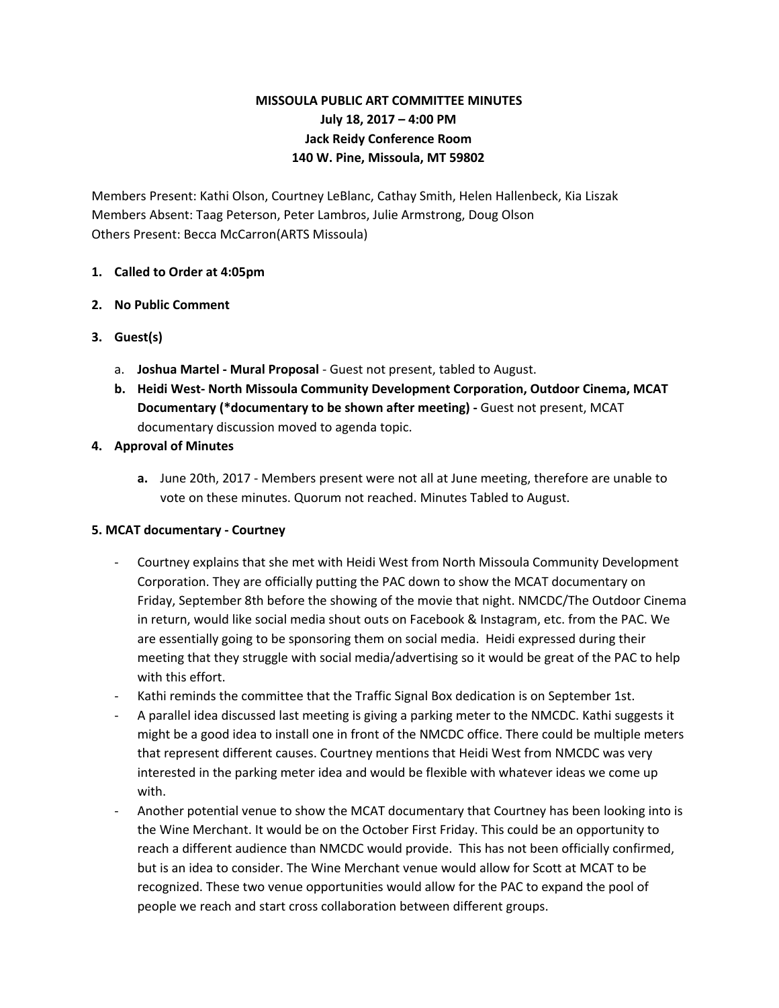# **MISSOULA PUBLIC ART COMMITTEE MINUTES July 18, 2017 – 4:00 PM Jack Reidy Conference Room 140 W. Pine, Missoula, MT 59802**

Members Present: Kathi Olson, Courtney LeBlanc, Cathay Smith, Helen Hallenbeck, Kia Liszak Members Absent: Taag Peterson, Peter Lambros, Julie Armstrong, Doug Olson Others Present: Becca McCarron(ARTS Missoula)

### **1. Called to Order at 4:05pm**

### **2. No Public Comment**

- **3. Guest(s)**
	- a. **Joshua Martel - Mural Proposal** Guest not present, tabled to August.
	- **b. Heidi West- North Missoula Community Development Corporation, Outdoor Cinema, MCAT Documentary (\*documentary to be shown after meeting) -** Guest not present, MCAT documentary discussion moved to agenda topic.

### **4. Approval of Minutes**

**a.** June 20th, 2017 - Members present were not all at June meeting, therefore are unable to vote on these minutes. Quorum not reached. Minutes Tabled to August.

# **5. MCAT documentary - Courtney**

- Courtney explains that she met with Heidi West from North Missoula Community Development Corporation. They are officially putting the PAC down to show the MCAT documentary on Friday, September 8th before the showing of the movie that night. NMCDC/The Outdoor Cinema in return, would like social media shout outs on Facebook & Instagram, etc. from the PAC. We are essentially going to be sponsoring them on social media. Heidi expressed during their meeting that they struggle with social media/advertising so it would be great of the PAC to help with this effort.
- Kathi reminds the committee that the Traffic Signal Box dedication is on September 1st.
- A parallel idea discussed last meeting is giving a parking meter to the NMCDC. Kathi suggests it might be a good idea to install one in front of the NMCDC office. There could be multiple meters that represent different causes. Courtney mentions that Heidi West from NMCDC was very interested in the parking meter idea and would be flexible with whatever ideas we come up with.
- Another potential venue to show the MCAT documentary that Courtney has been looking into is the Wine Merchant. It would be on the October First Friday. This could be an opportunity to reach a different audience than NMCDC would provide. This has not been officially confirmed, but is an idea to consider. The Wine Merchant venue would allow for Scott at MCAT to be recognized. These two venue opportunities would allow for the PAC to expand the pool of people we reach and start cross collaboration between different groups.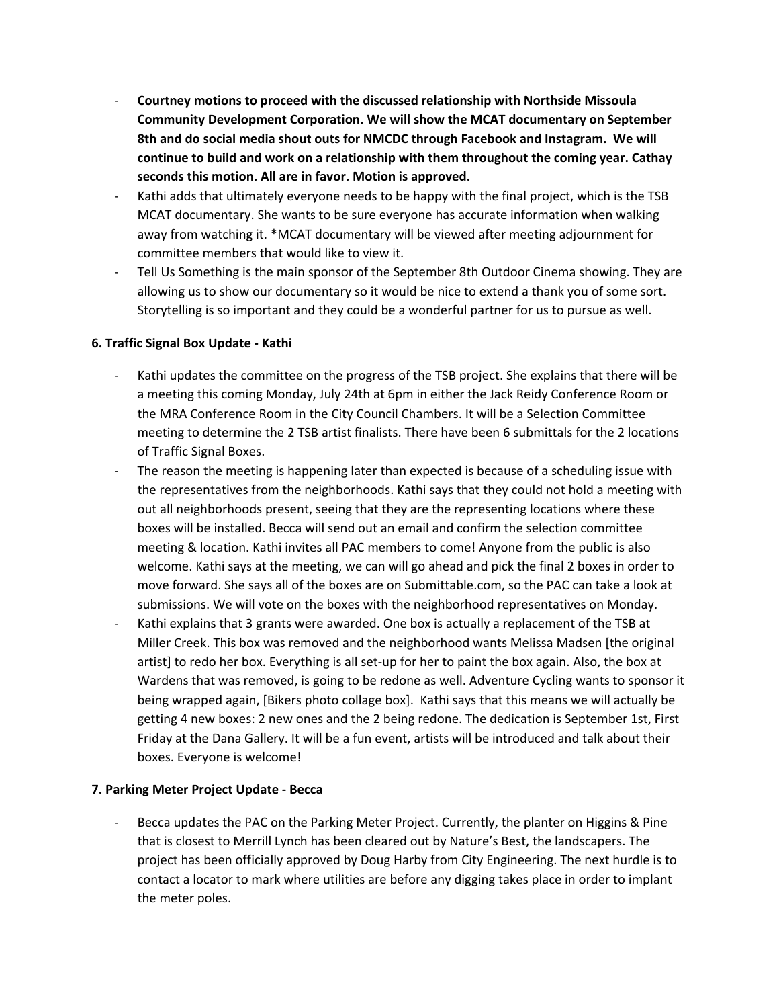- **Courtney motions to proceed with the discussed relationship with Northside Missoula Community Development Corporation. We will show the MCAT documentary on September 8th and do social media shout outs for NMCDC through Facebook and Instagram. We will continue to build and work on a relationship with them throughout the coming year. Cathay seconds this motion. All are in favor. Motion is approved.**
- Kathi adds that ultimately everyone needs to be happy with the final project, which is the TSB MCAT documentary. She wants to be sure everyone has accurate information when walking away from watching it. \*MCAT documentary will be viewed after meeting adjournment for committee members that would like to view it.
- Tell Us Something is the main sponsor of the September 8th Outdoor Cinema showing. They are allowing us to show our documentary so it would be nice to extend a thank you of some sort. Storytelling is so important and they could be a wonderful partner for us to pursue as well.

### **6. Traffic Signal Box Update - Kathi**

- Kathi updates the committee on the progress of the TSB project. She explains that there will be a meeting this coming Monday, July 24th at 6pm in either the Jack Reidy Conference Room or the MRA Conference Room in the City Council Chambers. It will be a Selection Committee meeting to determine the 2 TSB artist finalists. There have been 6 submittals for the 2 locations of Traffic Signal Boxes.
- The reason the meeting is happening later than expected is because of a scheduling issue with the representatives from the neighborhoods. Kathi says that they could not hold a meeting with out all neighborhoods present, seeing that they are the representing locations where these boxes will be installed. Becca will send out an email and confirm the selection committee meeting & location. Kathi invites all PAC members to come! Anyone from the public is also welcome. Kathi says at the meeting, we can will go ahead and pick the final 2 boxes in order to move forward. She says all of the boxes are on Submittable.com, so the PAC can take a look at submissions. We will vote on the boxes with the neighborhood representatives on Monday.
- Kathi explains that 3 grants were awarded. One box is actually a replacement of the TSB at Miller Creek. This box was removed and the neighborhood wants Melissa Madsen [the original artist] to redo her box. Everything is all set-up for her to paint the box again. Also, the box at Wardens that was removed, is going to be redone as well. Adventure Cycling wants to sponsor it being wrapped again, [Bikers photo collage box]. Kathi says that this means we will actually be getting 4 new boxes: 2 new ones and the 2 being redone. The dedication is September 1st, First Friday at the Dana Gallery. It will be a fun event, artists will be introduced and talk about their boxes. Everyone is welcome!

#### **7. Parking Meter Project Update - Becca**

Becca updates the PAC on the Parking Meter Project. Currently, the planter on Higgins & Pine that is closest to Merrill Lynch has been cleared out by Nature's Best, the landscapers. The project has been officially approved by Doug Harby from City Engineering. The next hurdle is to contact a locator to mark where utilities are before any digging takes place in order to implant the meter poles.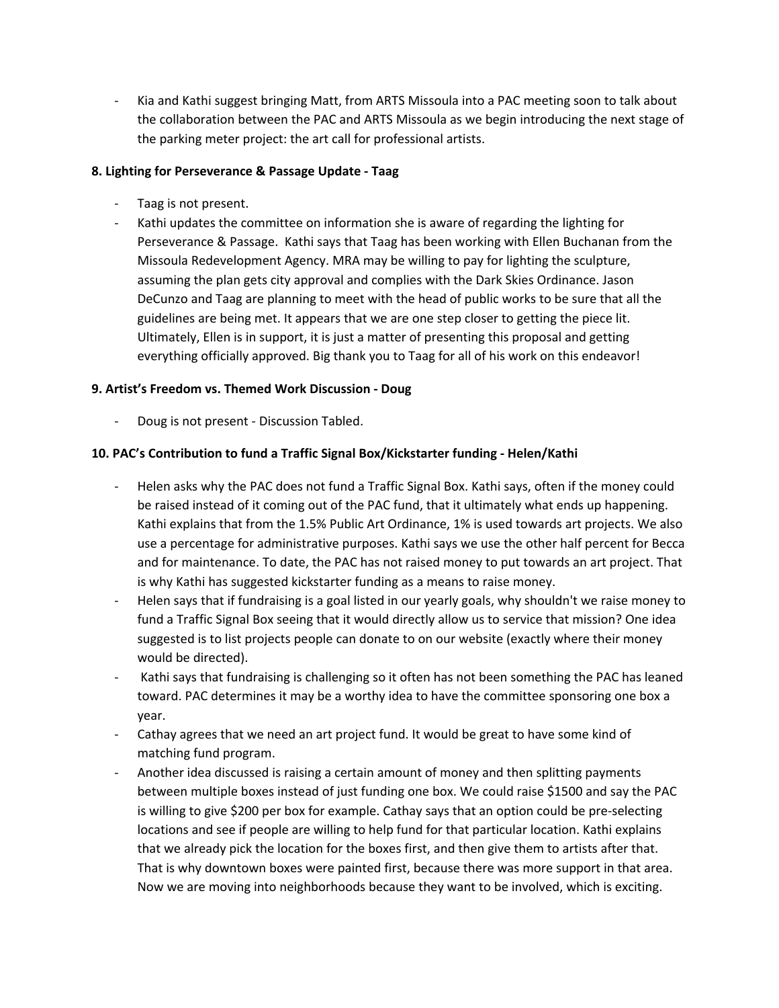Kia and Kathi suggest bringing Matt, from ARTS Missoula into a PAC meeting soon to talk about the collaboration between the PAC and ARTS Missoula as we begin introducing the next stage of the parking meter project: the art call for professional artists.

### **8. Lighting for Perseverance & Passage Update - Taag**

- Taag is not present.
- Kathi updates the committee on information she is aware of regarding the lighting for Perseverance & Passage. Kathi says that Taag has been working with Ellen Buchanan from the Missoula Redevelopment Agency. MRA may be willing to pay for lighting the sculpture, assuming the plan gets city approval and complies with the Dark Skies Ordinance. Jason DeCunzo and Taag are planning to meet with the head of public works to be sure that all the guidelines are being met. It appears that we are one step closer to getting the piece lit. Ultimately, Ellen is in support, it is just a matter of presenting this proposal and getting everything officially approved. Big thank you to Taag for all of his work on this endeavor!

### **9. Artist's Freedom vs. Themed Work Discussion - Doug**

- Doug is not present - Discussion Tabled.

#### **10. PAC's Contribution to fund a Traffic Signal Box/Kickstarter funding - Helen/Kathi**

- Helen asks why the PAC does not fund a Traffic Signal Box. Kathi says, often if the money could be raised instead of it coming out of the PAC fund, that it ultimately what ends up happening. Kathi explains that from the 1.5% Public Art Ordinance, 1% is used towards art projects. We also use a percentage for administrative purposes. Kathi says we use the other half percent for Becca and for maintenance. To date, the PAC has not raised money to put towards an art project. That is why Kathi has suggested kickstarter funding as a means to raise money.
- Helen says that if fundraising is a goal listed in our yearly goals, why shouldn't we raise money to fund a Traffic Signal Box seeing that it would directly allow us to service that mission? One idea suggested is to list projects people can donate to on our website (exactly where their money would be directed).
- Kathi says that fundraising is challenging so it often has not been something the PAC has leaned toward. PAC determines it may be a worthy idea to have the committee sponsoring one box a year.
- Cathay agrees that we need an art project fund. It would be great to have some kind of matching fund program.
- Another idea discussed is raising a certain amount of money and then splitting payments between multiple boxes instead of just funding one box. We could raise \$1500 and say the PAC is willing to give \$200 per box for example. Cathay says that an option could be pre-selecting locations and see if people are willing to help fund for that particular location. Kathi explains that we already pick the location for the boxes first, and then give them to artists after that. That is why downtown boxes were painted first, because there was more support in that area. Now we are moving into neighborhoods because they want to be involved, which is exciting.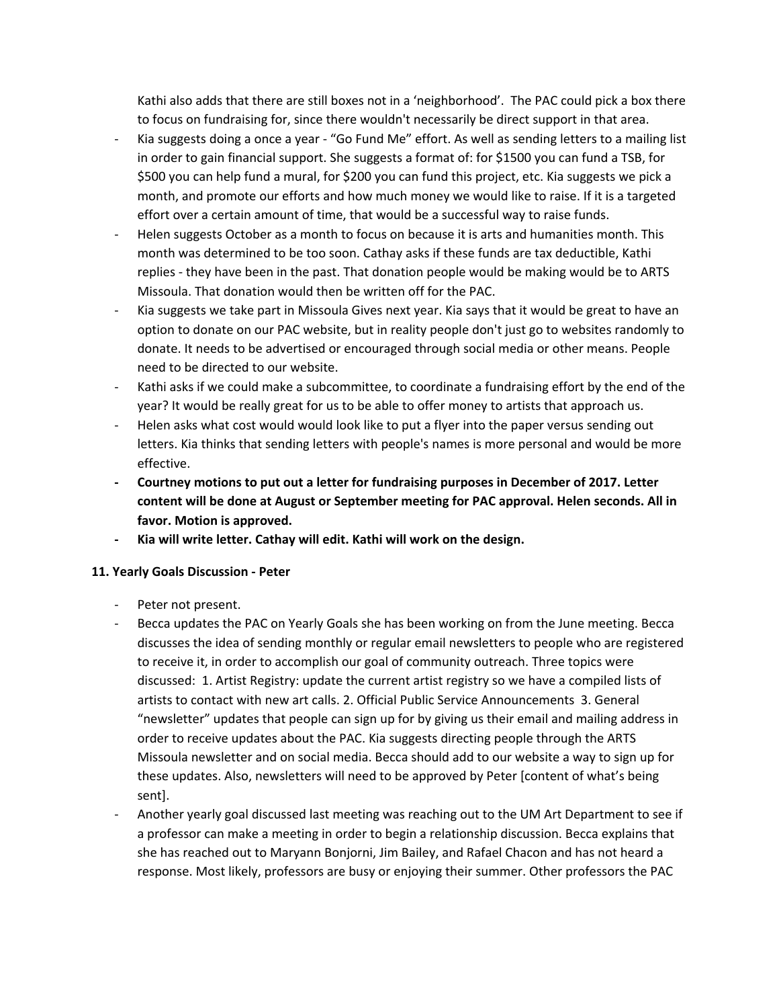Kathi also adds that there are still boxes not in a 'neighborhood'. The PAC could pick a box there to focus on fundraising for, since there wouldn't necessarily be direct support in that area.

- Kia suggests doing a once a year "Go Fund Me" effort. As well as sending letters to a mailing list in order to gain financial support. She suggests a format of: for \$1500 you can fund a TSB, for \$500 you can help fund a mural, for \$200 you can fund this project, etc. Kia suggests we pick a month, and promote our efforts and how much money we would like to raise. If it is a targeted effort over a certain amount of time, that would be a successful way to raise funds.
- Helen suggests October as a month to focus on because it is arts and humanities month. This month was determined to be too soon. Cathay asks if these funds are tax deductible, Kathi replies - they have been in the past. That donation people would be making would be to ARTS Missoula. That donation would then be written off for the PAC.
- Kia suggests we take part in Missoula Gives next year. Kia says that it would be great to have an option to donate on our PAC website, but in reality people don't just go to websites randomly to donate. It needs to be advertised or encouraged through social media or other means. People need to be directed to our website.
- Kathi asks if we could make a subcommittee, to coordinate a fundraising effort by the end of the year? It would be really great for us to be able to offer money to artists that approach us.
- Helen asks what cost would would look like to put a flyer into the paper versus sending out letters. Kia thinks that sending letters with people's names is more personal and would be more effective.
- **- Courtney motions to put out a letter for fundraising purposes in December of 2017. Letter content will be done at August or September meeting for PAC approval. Helen seconds. All in favor. Motion is approved.**
- **- Kia will write letter. Cathay will edit. Kathi will work on the design.**

#### **11. Yearly Goals Discussion - Peter**

- Peter not present.
- Becca updates the PAC on Yearly Goals she has been working on from the June meeting. Becca discusses the idea of sending monthly or regular email newsletters to people who are registered to receive it, in order to accomplish our goal of community outreach. Three topics were discussed: 1. Artist Registry: update the current artist registry so we have a compiled lists of artists to contact with new art calls. 2. Official Public Service Announcements 3. General "newsletter" updates that people can sign up for by giving us their email and mailing address in order to receive updates about the PAC. Kia suggests directing people through the ARTS Missoula newsletter and on social media. Becca should add to our website a way to sign up for these updates. Also, newsletters will need to be approved by Peter [content of what's being sent].
- Another yearly goal discussed last meeting was reaching out to the UM Art Department to see if a professor can make a meeting in order to begin a relationship discussion. Becca explains that she has reached out to Maryann Bonjorni, Jim Bailey, and Rafael Chacon and has not heard a response. Most likely, professors are busy or enjoying their summer. Other professors the PAC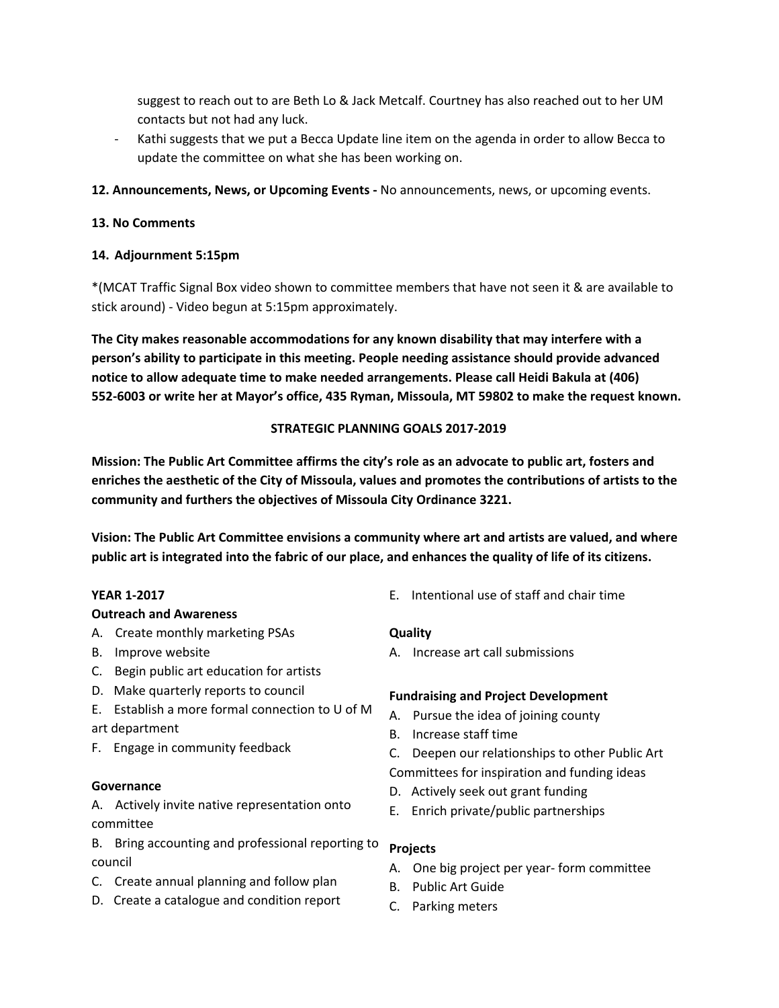suggest to reach out to are Beth Lo & Jack Metcalf. Courtney has also reached out to her UM contacts but not had any luck.

- Kathi suggests that we put a Becca Update line item on the agenda in order to allow Becca to update the committee on what she has been working on.
- **12. Announcements, News, or Upcoming Events -** No announcements, news, or upcoming events.

### **13. No Comments**

### **14. Adjournment 5:15pm**

\*(MCAT Traffic Signal Box video shown to committee members that have not seen it & are available to stick around) - Video begun at 5:15pm approximately.

**The City makes reasonable accommodations for any known disability that may interfere with a person's ability to participate in this meeting. People needing assistance should provide advanced notice to allow adequate time to make needed arrangements. Please call Heidi Bakula at (406) 552-6003 or write her at Mayor's office, 435 Ryman, Missoula, MT 59802 to make the request known.**

### **STRATEGIC PLANNING GOALS 2017-2019**

**Mission: The Public Art Committee affirms the city's role as an advocate to public art, fosters and enriches the aesthetic of the City of Missoula, values and promotes the contributions of artists to the community and furthers the objectives of Missoula City Ordinance 3221.**

**Vision: The Public Art Committee envisions a community where art and artists are valued, and where** public art is integrated into the fabric of our place, and enhances the quality of life of its citizens.

#### **YEAR 1-2017**

#### **Outreach and Awareness**

- A. Create monthly marketing PSAs
- B. Improve website
- C. Begin public art education for artists
- D. Make quarterly reports to council
- E. Establish a more formal connection to U of M art department
- F. Engage in community feedback

#### **Governance**

A. Actively invite native representation onto committee

B. Bring accounting and professional reporting to council

- C. Create annual planning and follow plan
- D. Create a catalogue and condition report

E. Intentional use of staff and chair time

#### **Quality**

A. Increase art call submissions

#### **Fundraising and Project Development**

- A. Pursue the idea of joining county
- B. Increase staff time
- C. Deepen our relationships to other Public Art
- Committees for inspiration and funding ideas
- D. Actively seek out grant funding
- E. Enrich private/public partnerships

### **Projects**

- A. One big project per year- form committee
- B. Public Art Guide
- C. Parking meters